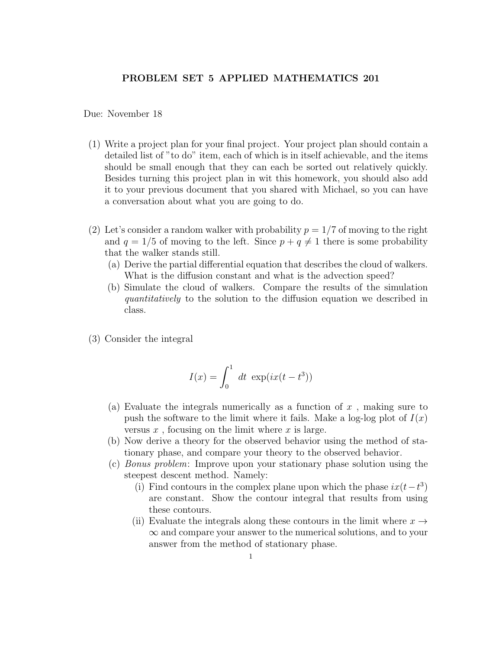## PROBLEM SET 5 APPLIED MATHEMATICS 201

## Due: November 18

- (1) Write a project plan for your final project. Your project plan should contain a detailed list of "to do" item, each of which is in itself achievable, and the items should be small enough that they can each be sorted out relatively quickly. Besides turning this project plan in wit this homework, you should also add it to your previous document that you shared with Michael, so you can have a conversation about what you are going to do.
- (2) Let's consider a random walker with probability  $p = 1/7$  of moving to the right and  $q = 1/5$  of moving to the left. Since  $p + q \neq 1$  there is some probability that the walker stands still.
	- (a) Derive the partial differential equation that describes the cloud of walkers. What is the diffusion constant and what is the advection speed?
	- (b) Simulate the cloud of walkers. Compare the results of the simulation quantitatively to the solution to the diffusion equation we described in class.
- (3) Consider the integral

$$
I(x) = \int_0^1 dt \exp(ix(t - t^3))
$$

- (a) Evaluate the integrals numerically as a function of  $x$ , making sure to push the software to the limit where it fails. Make a log-log plot of  $I(x)$ versus  $x$ , focusing on the limit where  $x$  is large.
- (b) Now derive a theory for the observed behavior using the method of stationary phase, and compare your theory to the observed behavior.
- (c) Bonus problem: Improve upon your stationary phase solution using the steepest descent method. Namely:
	- (i) Find contours in the complex plane upon which the phase  $ix(t-t^3)$ are constant. Show the contour integral that results from using these contours.
	- (ii) Evaluate the integrals along these contours in the limit where  $x \rightarrow$ ∞ and compare your answer to the numerical solutions, and to your answer from the method of stationary phase.